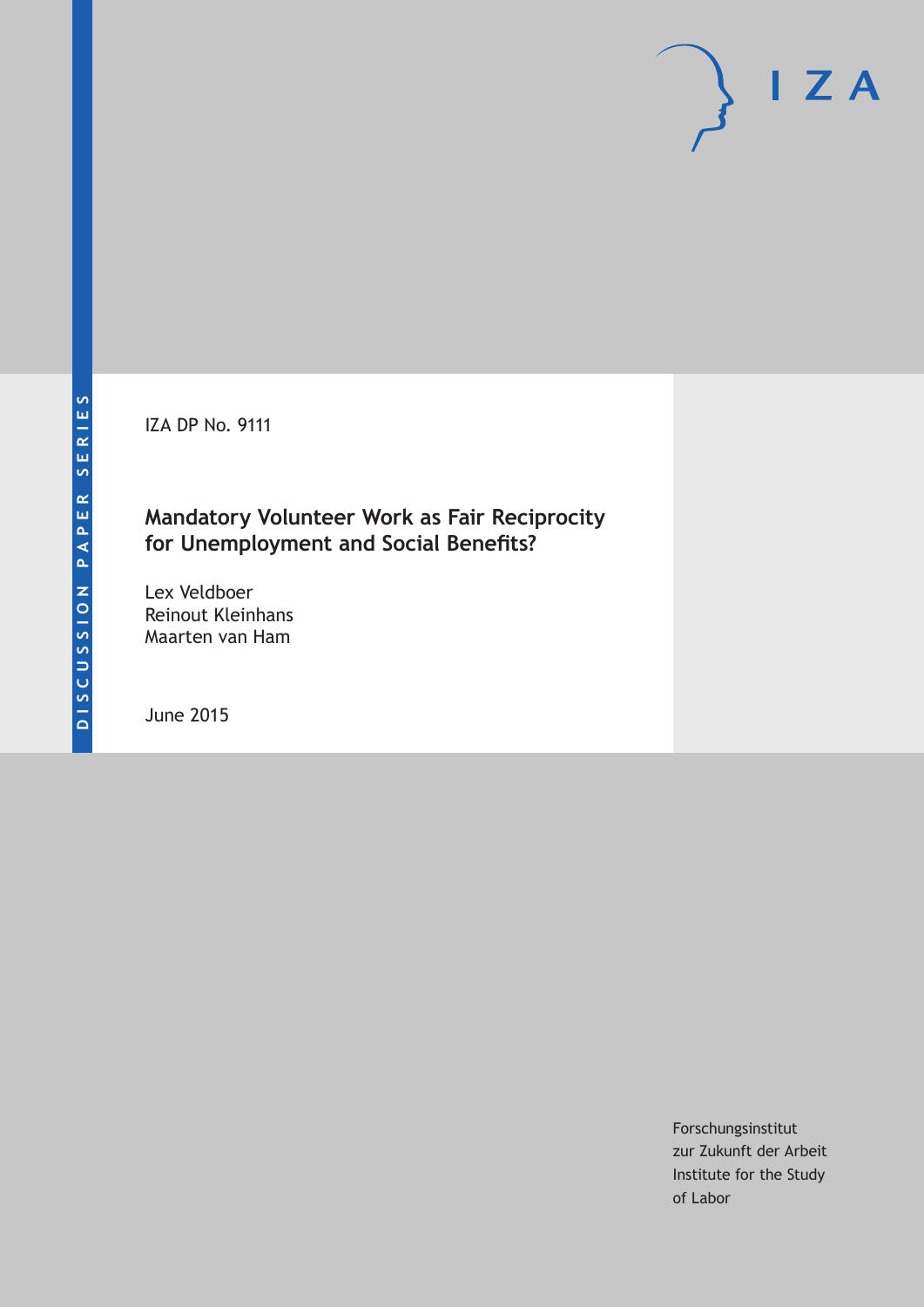IZA DP No. 9111

## **Mandatory Volunteer Work as Fair Reciprocity for Unemployment and Social Benefits?**

Lex Veldboer Reinout Kleinhans Maarten van Ham

June 2015

Forschungsinstitut zur Zukunft der Arbeit Institute for the Study of Labor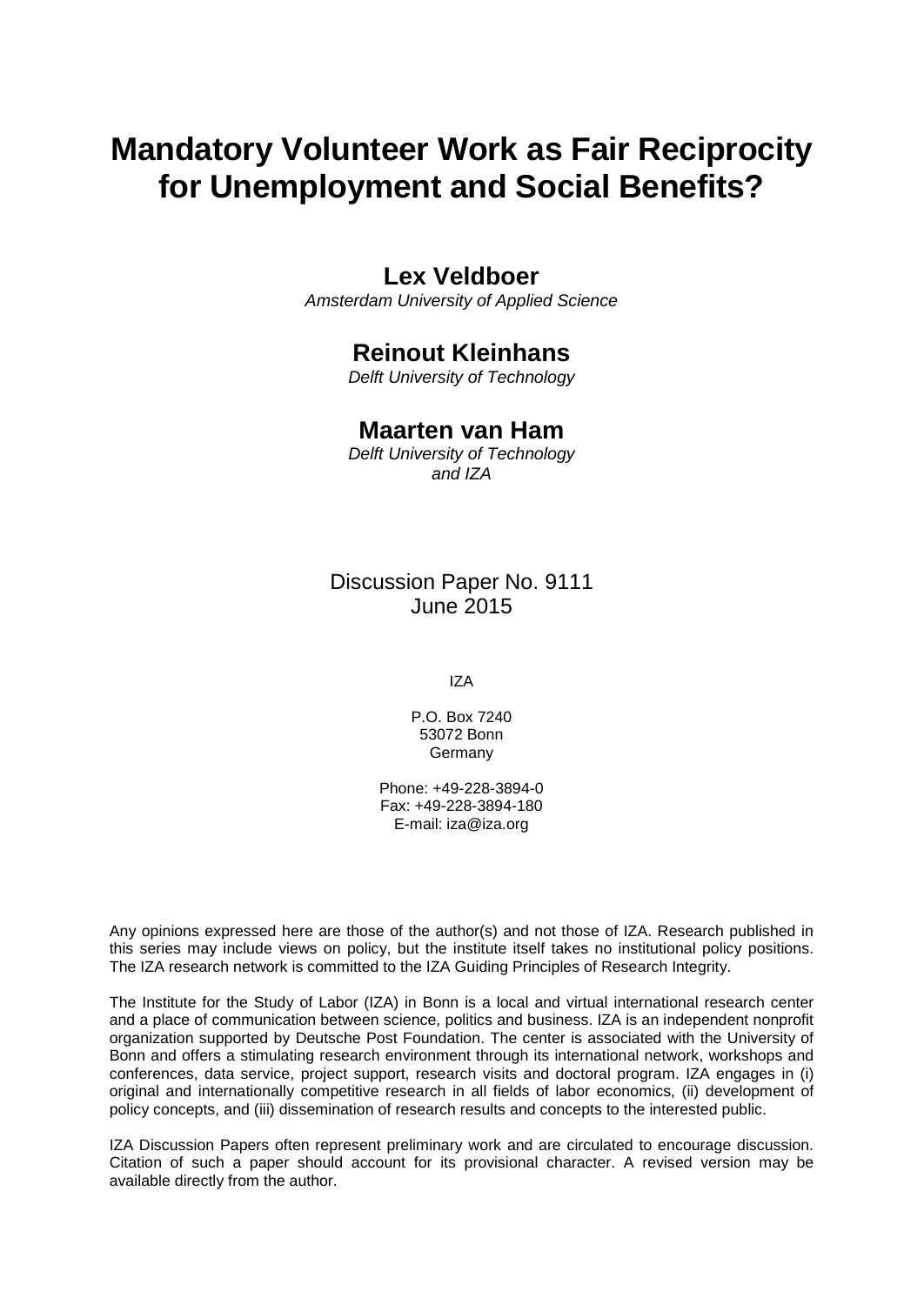# **Mandatory Volunteer Work as Fair Reciprocity for Unemployment and Social Benefits?**

### **Lex Veldboer**

*Amsterdam University of Applied Science*

# **Reinout Kleinhans**

*Delft University of Technology*

### **Maarten van Ham**

*Delft University of Technology and IZA*

### Discussion Paper No. 9111 June 2015

IZA

P.O. Box 7240 53072 Bonn **Germany** 

Phone: +49-228-3894-0 Fax: +49-228-3894-180 E-mail: iza@iza.org

Any opinions expressed here are those of the author(s) and not those of IZA. Research published in this series may include views on policy, but the institute itself takes no institutional policy positions. The IZA research network is committed to the IZA Guiding Principles of Research Integrity.

The Institute for the Study of Labor (IZA) in Bonn is a local and virtual international research center and a place of communication between science, politics and business. IZA is an independent nonprofit organization supported by Deutsche Post Foundation. The center is associated with the University of Bonn and offers a stimulating research environment through its international network, workshops and conferences, data service, project support, research visits and doctoral program. IZA engages in (i) original and internationally competitive research in all fields of labor economics, (ii) development of policy concepts, and (iii) dissemination of research results and concepts to the interested public.

IZA Discussion Papers often represent preliminary work and are circulated to encourage discussion. Citation of such a paper should account for its provisional character. A revised version may be available directly from the author.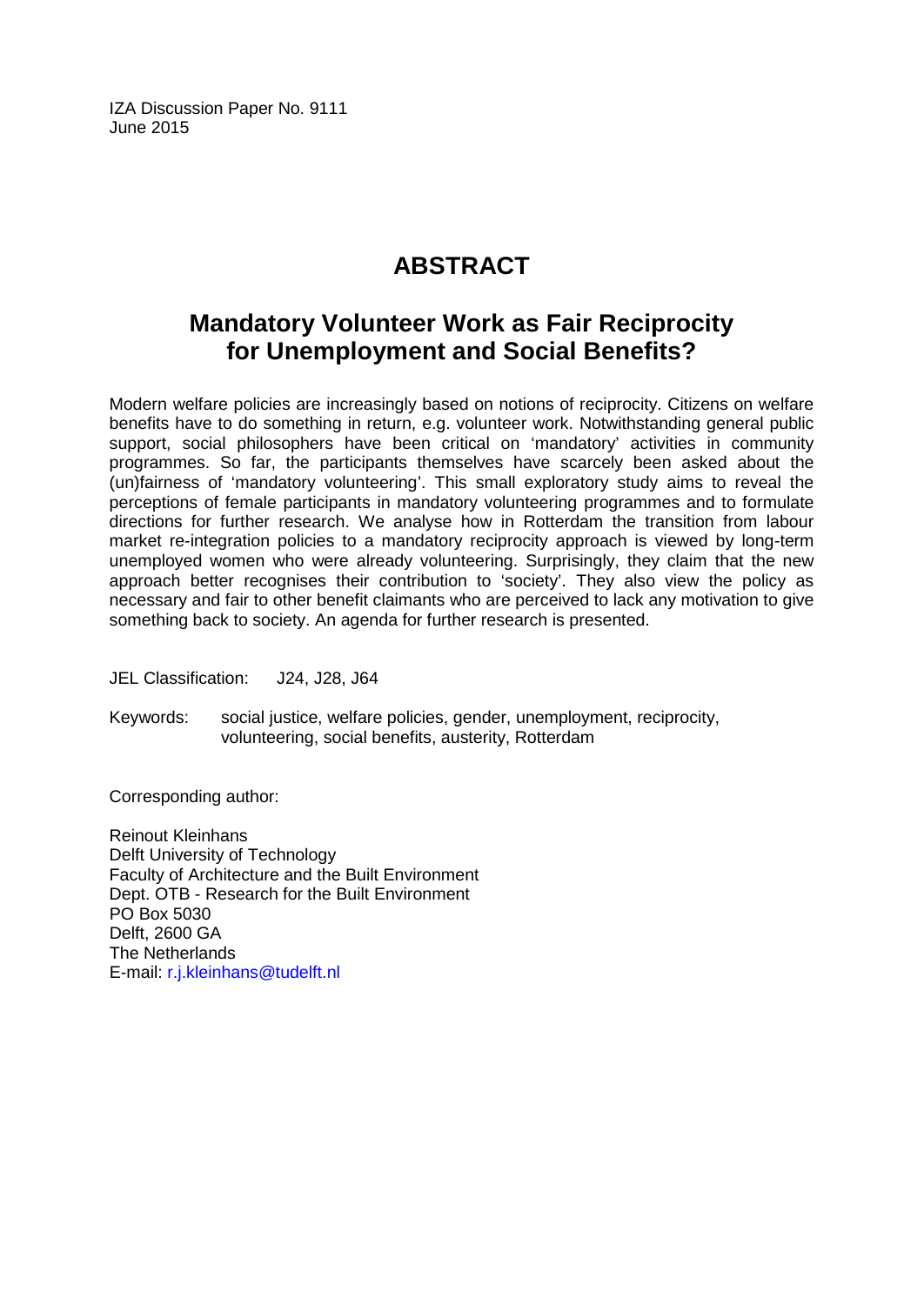IZA Discussion Paper No. 9111 June 2015

# **ABSTRACT**

# **Mandatory Volunteer Work as Fair Reciprocity for Unemployment and Social Benefits?**

Modern welfare policies are increasingly based on notions of reciprocity. Citizens on welfare benefits have to do something in return, e.g. volunteer work. Notwithstanding general public support, social philosophers have been critical on 'mandatory' activities in community programmes. So far, the participants themselves have scarcely been asked about the (un)fairness of 'mandatory volunteering'. This small exploratory study aims to reveal the perceptions of female participants in mandatory volunteering programmes and to formulate directions for further research. We analyse how in Rotterdam the transition from labour market re-integration policies to a mandatory reciprocity approach is viewed by long-term unemployed women who were already volunteering. Surprisingly, they claim that the new approach better recognises their contribution to 'society'. They also view the policy as necessary and fair to other benefit claimants who are perceived to lack any motivation to give something back to society. An agenda for further research is presented.

JEL Classification: J24, J28, J64

Keywords: social justice, welfare policies, gender, unemployment, reciprocity, volunteering, social benefits, austerity, Rotterdam

Corresponding author:

Reinout Kleinhans Delft University of Technology Faculty of Architecture and the Built Environment Dept. OTB - Research for the Built Environment PO Box 5030 Delft, 2600 GA The Netherlands E-mail: [r.j.kleinhans@tudelft.nl](mailto:r.j.kleinhans@tudelft.nl)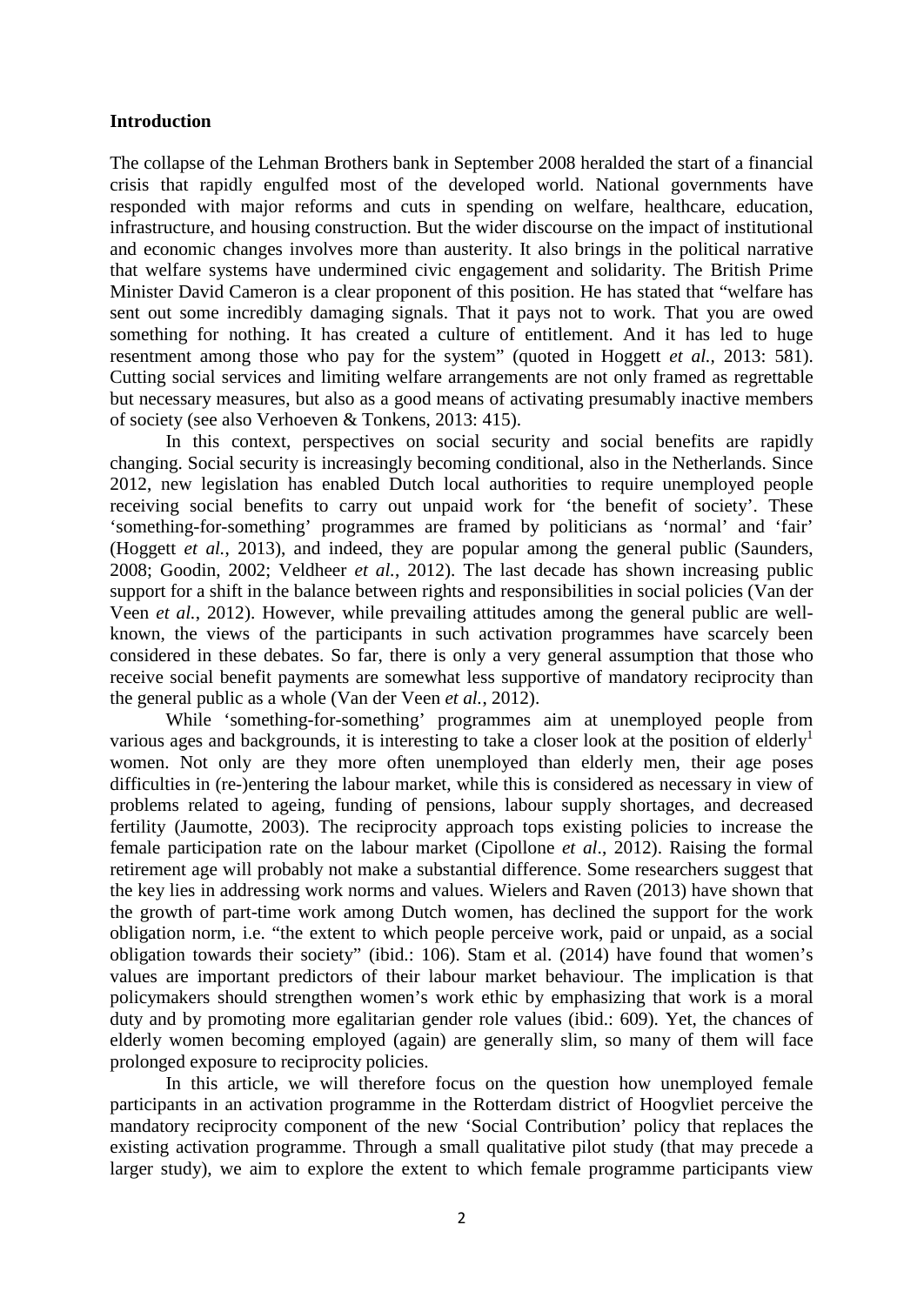#### **Introduction**

The collapse of the Lehman Brothers bank in September 2008 heralded the start of a financial crisis that rapidly engulfed most of the developed world. National governments have responded with major reforms and cuts in spending on welfare, healthcare, education, infrastructure, and housing construction. But the wider discourse on the impact of institutional and economic changes involves more than austerity. It also brings in the political narrative that welfare systems have undermined civic engagement and solidarity. The British Prime Minister David Cameron is a clear proponent of this position. He has stated that "welfare has sent out some incredibly damaging signals. That it pays not to work. That you are owed something for nothing. It has created a culture of entitlement. And it has led to huge resentment among those who pay for the system" (quoted in Hoggett *et al.,* 2013: 581). Cutting social services and limiting welfare arrangements are not only framed as regrettable but necessary measures, but also as a good means of activating presumably inactive members of society (see also Verhoeven & Tonkens, 2013: 415).

In this context, perspectives on social security and social benefits are rapidly changing. Social security is increasingly becoming conditional, also in the Netherlands. Since 2012, new legislation has enabled Dutch local authorities to require unemployed people receiving social benefits to carry out unpaid work for 'the benefit of society'. These 'something-for-something' programmes are framed by politicians as 'normal' and 'fair' (Hoggett *et al.*, 2013), and indeed, they are popular among the general public (Saunders, 2008; Goodin, 2002; Veldheer *et al.*, 2012). The last decade has shown increasing public support for a shift in the balance between rights and responsibilities in social policies (Van der Veen *et al.*, 2012). However, while prevailing attitudes among the general public are wellknown, the views of the participants in such activation programmes have scarcely been considered in these debates. So far, there is only a very general assumption that those who receive social benefit payments are somewhat less supportive of mandatory reciprocity than the general public as a whole (Van der Veen *et al.*, 2012).

While 'something-for-something' programmes aim at unemployed people from various ages and backgrounds, it is interesting to take a closer look at the position of elderly<sup>1</sup> women. Not only are they more often unemployed than elderly men, their age poses difficulties in (re-)entering the labour market, while this is considered as necessary in view of problems related to ageing, funding of pensions, labour supply shortages, and decreased fertility (Jaumotte, 2003). The reciprocity approach tops existing policies to increase the female participation rate on the labour market (Cipollone *et al*., 2012). Raising the formal retirement age will probably not make a substantial difference. Some researchers suggest that the key lies in addressing work norms and values. Wielers and Raven (2013) have shown that the growth of part-time work among Dutch women, has declined the support for the work obligation norm, i.e. "the extent to which people perceive work, paid or unpaid, as a social obligation towards their society" (ibid.: 106). Stam et al. (2014) have found that women's values are important predictors of their labour market behaviour. The implication is that policymakers should strengthen women's work ethic by emphasizing that work is a moral duty and by promoting more egalitarian gender role values (ibid.: 609). Yet, the chances of elderly women becoming employed (again) are generally slim, so many of them will face prolonged exposure to reciprocity policies.

In this article, we will therefore focus on the question how unemployed female participants in an activation programme in the Rotterdam district of Hoogvliet perceive the mandatory reciprocity component of the new 'Social Contribution' policy that replaces the existing activation programme. Through a small qualitative pilot study (that may precede a larger study), we aim to explore the extent to which female programme participants view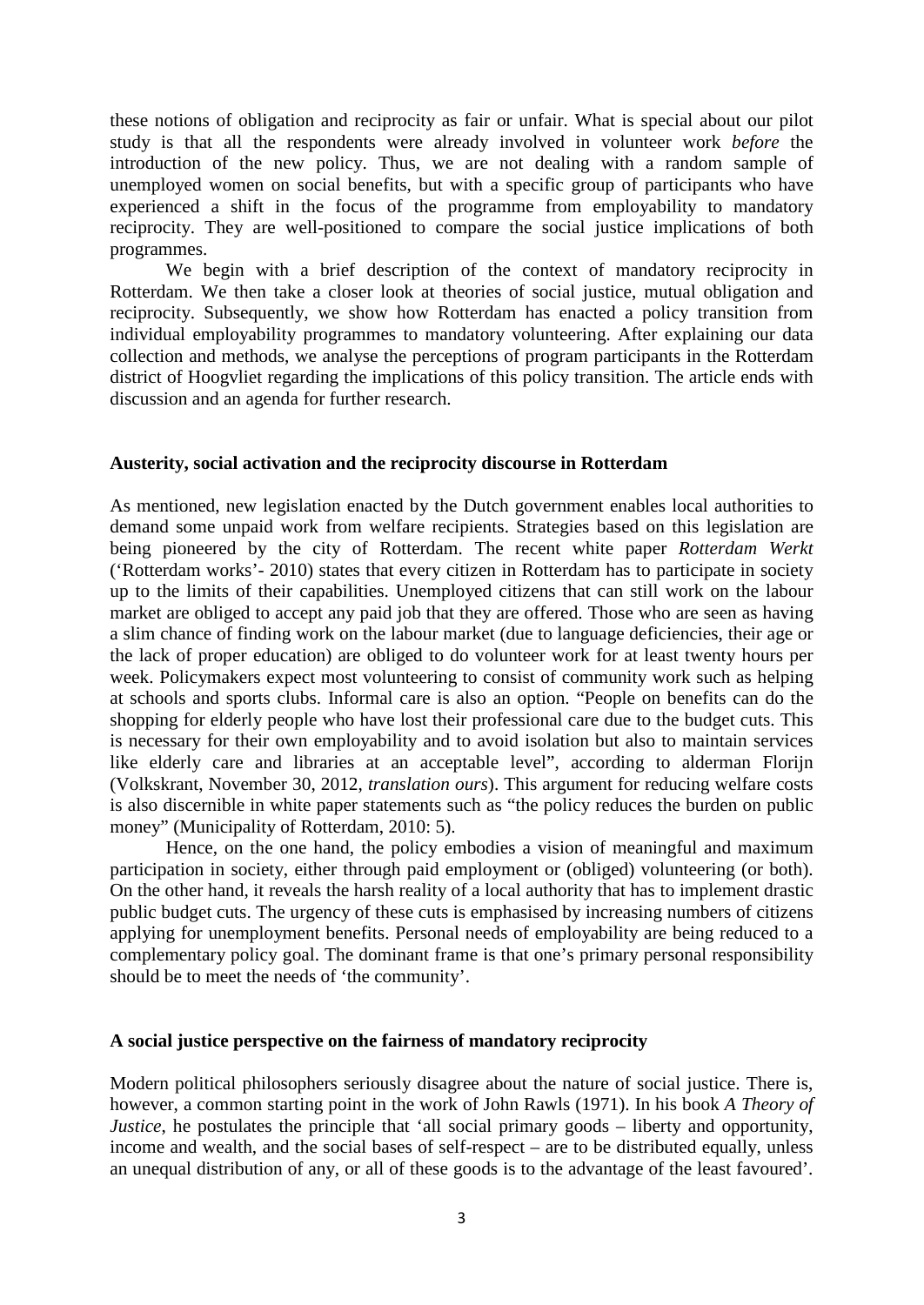these notions of obligation and reciprocity as fair or unfair. What is special about our pilot study is that all the respondents were already involved in volunteer work *before* the introduction of the new policy. Thus, we are not dealing with a random sample of unemployed women on social benefits, but with a specific group of participants who have experienced a shift in the focus of the programme from employability to mandatory reciprocity. They are well-positioned to compare the social justice implications of both programmes.

We begin with a brief description of the context of mandatory reciprocity in Rotterdam. We then take a closer look at theories of social justice, mutual obligation and reciprocity. Subsequently, we show how Rotterdam has enacted a policy transition from individual employability programmes to mandatory volunteering. After explaining our data collection and methods, we analyse the perceptions of program participants in the Rotterdam district of Hoogvliet regarding the implications of this policy transition. The article ends with discussion and an agenda for further research.

#### **Austerity, social activation and the reciprocity discourse in Rotterdam**

As mentioned, new legislation enacted by the Dutch government enables local authorities to demand some unpaid work from welfare recipients. Strategies based on this legislation are being pioneered by the city of Rotterdam. The recent white paper *Rotterdam Werkt*  ('Rotterdam works'- 2010) states that every citizen in Rotterdam has to participate in society up to the limits of their capabilities. Unemployed citizens that can still work on the labour market are obliged to accept any paid job that they are offered. Those who are seen as having a slim chance of finding work on the labour market (due to language deficiencies, their age or the lack of proper education) are obliged to do volunteer work for at least twenty hours per week. Policymakers expect most volunteering to consist of community work such as helping at schools and sports clubs. Informal care is also an option. "People on benefits can do the shopping for elderly people who have lost their professional care due to the budget cuts. This is necessary for their own employability and to avoid isolation but also to maintain services like elderly care and libraries at an acceptable level", according to alderman Florijn (Volkskrant, November 30, 2012, *translation ours*). This argument for reducing welfare costs is also discernible in white paper statements such as "the policy reduces the burden on public money" (Municipality of Rotterdam, 2010: 5).

Hence, on the one hand, the policy embodies a vision of meaningful and maximum participation in society, either through paid employment or (obliged) volunteering (or both). On the other hand, it reveals the harsh reality of a local authority that has to implement drastic public budget cuts. The urgency of these cuts is emphasised by increasing numbers of citizens applying for unemployment benefits. Personal needs of employability are being reduced to a complementary policy goal. The dominant frame is that one's primary personal responsibility should be to meet the needs of 'the community'.

#### **A social justice perspective on the fairness of mandatory reciprocity**

Modern political philosophers seriously disagree about the nature of social justice. There is, however, a common starting point in the work of John Rawls (1971). In his book *A Theory of Justice*, he postulates the principle that 'all social primary goods – liberty and opportunity, income and wealth, and the social bases of self-respect – are to be distributed equally, unless an unequal distribution of any, or all of these goods is to the advantage of the least favoured'.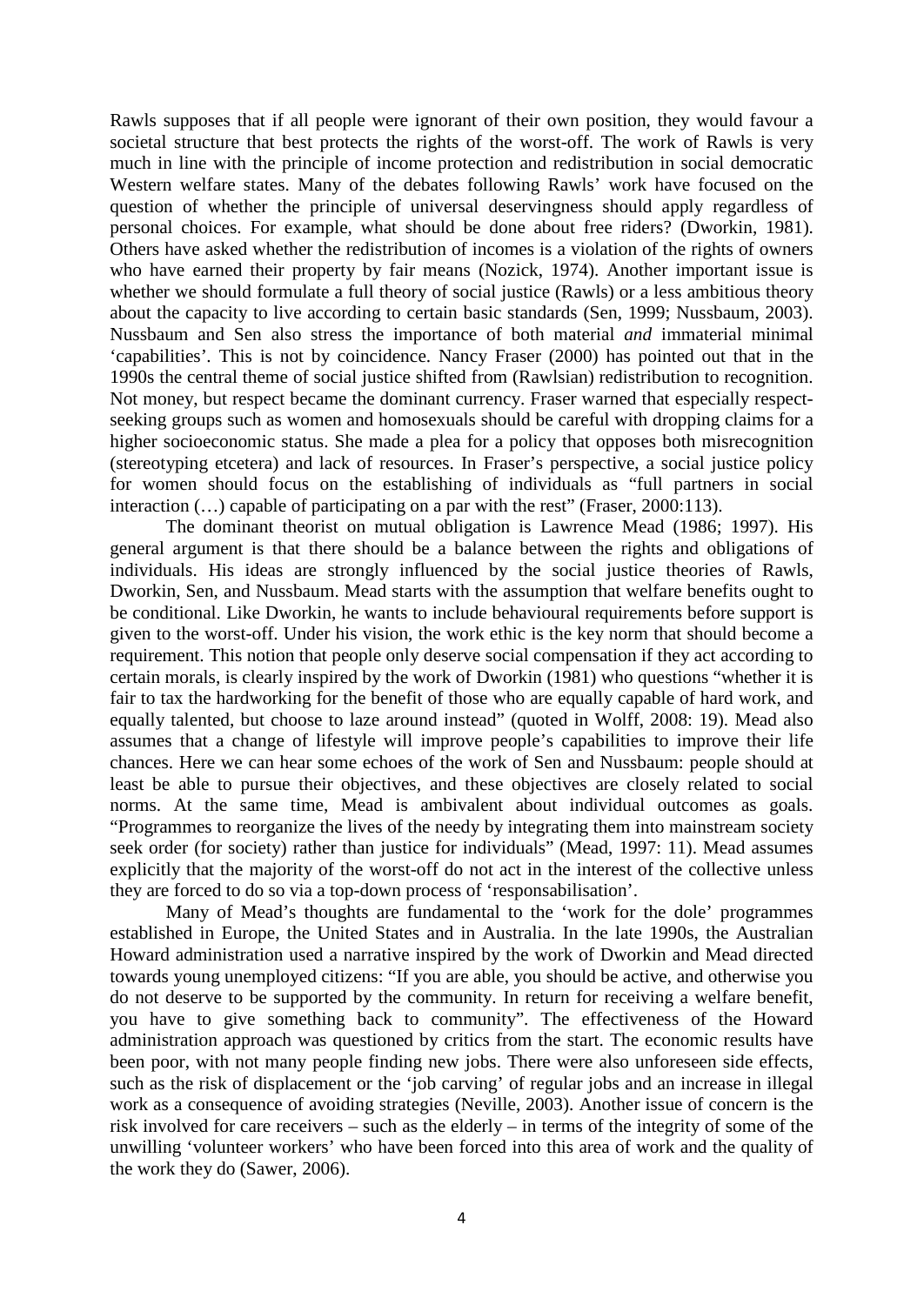Rawls supposes that if all people were ignorant of their own position, they would favour a societal structure that best protects the rights of the worst-off. The work of Rawls is very much in line with the principle of income protection and redistribution in social democratic Western welfare states. Many of the debates following Rawls' work have focused on the question of whether the principle of universal deservingness should apply regardless of personal choices. For example, what should be done about free riders? (Dworkin, 1981). Others have asked whether the redistribution of incomes is a violation of the rights of owners who have earned their property by fair means (Nozick, 1974). Another important issue is whether we should formulate a full theory of social justice (Rawls) or a less ambitious theory about the capacity to live according to certain basic standards (Sen, 1999; Nussbaum, 2003). Nussbaum and Sen also stress the importance of both material *and* immaterial minimal 'capabilities'*.* This is not by coincidence. Nancy Fraser (2000) has pointed out that in the 1990s the central theme of social justice shifted from (Rawlsian) redistribution to recognition. Not money, but respect became the dominant currency. Fraser warned that especially respectseeking groups such as women and homosexuals should be careful with dropping claims for a higher socioeconomic status. She made a plea for a policy that opposes both misrecognition (stereotyping etcetera) and lack of resources. In Fraser's perspective, a social justice policy for women should focus on the establishing of individuals as "full partners in social interaction (…) capable of participating on a par with the rest" (Fraser, 2000:113).

The dominant theorist on mutual obligation is Lawrence Mead (1986; 1997). His general argument is that there should be a balance between the rights and obligations of individuals. His ideas are strongly influenced by the social justice theories of Rawls, Dworkin, Sen, and Nussbaum. Mead starts with the assumption that welfare benefits ought to be conditional. Like Dworkin, he wants to include behavioural requirements before support is given to the worst-off. Under his vision, the work ethic is the key norm that should become a requirement. This notion that people only deserve social compensation if they act according to certain morals, is clearly inspired by the work of Dworkin (1981) who questions "whether it is fair to tax the hardworking for the benefit of those who are equally capable of hard work, and equally talented, but choose to laze around instead" (quoted in Wolff, 2008: 19). Mead also assumes that a change of lifestyle will improve people's capabilities to improve their life chances. Here we can hear some echoes of the work of Sen and Nussbaum: people should at least be able to pursue their objectives, and these objectives are closely related to social norms. At the same time, Mead is ambivalent about individual outcomes as goals. "Programmes to reorganize the lives of the needy by integrating them into mainstream society seek order (for society) rather than justice for individuals" (Mead, 1997: 11). Mead assumes explicitly that the majority of the worst-off do not act in the interest of the collective unless they are forced to do so via a top-down process of 'responsabilisation'.

Many of Mead's thoughts are fundamental to the 'work for the dole' programmes established in Europe, the United States and in Australia. In the late 1990s, the Australian Howard administration used a narrative inspired by the work of Dworkin and Mead directed towards young unemployed citizens: "If you are able, you should be active, and otherwise you do not deserve to be supported by the community. In return for receiving a welfare benefit, you have to give something back to community". The effectiveness of the Howard administration approach was questioned by critics from the start. The economic results have been poor, with not many people finding new jobs. There were also unforeseen side effects, such as the risk of displacement or the 'job carving' of regular jobs and an increase in illegal work as a consequence of avoiding strategies (Neville, 2003). Another issue of concern is the risk involved for care receivers – such as the elderly – in terms of the integrity of some of the unwilling 'volunteer workers' who have been forced into this area of work and the quality of the work they do (Sawer, 2006).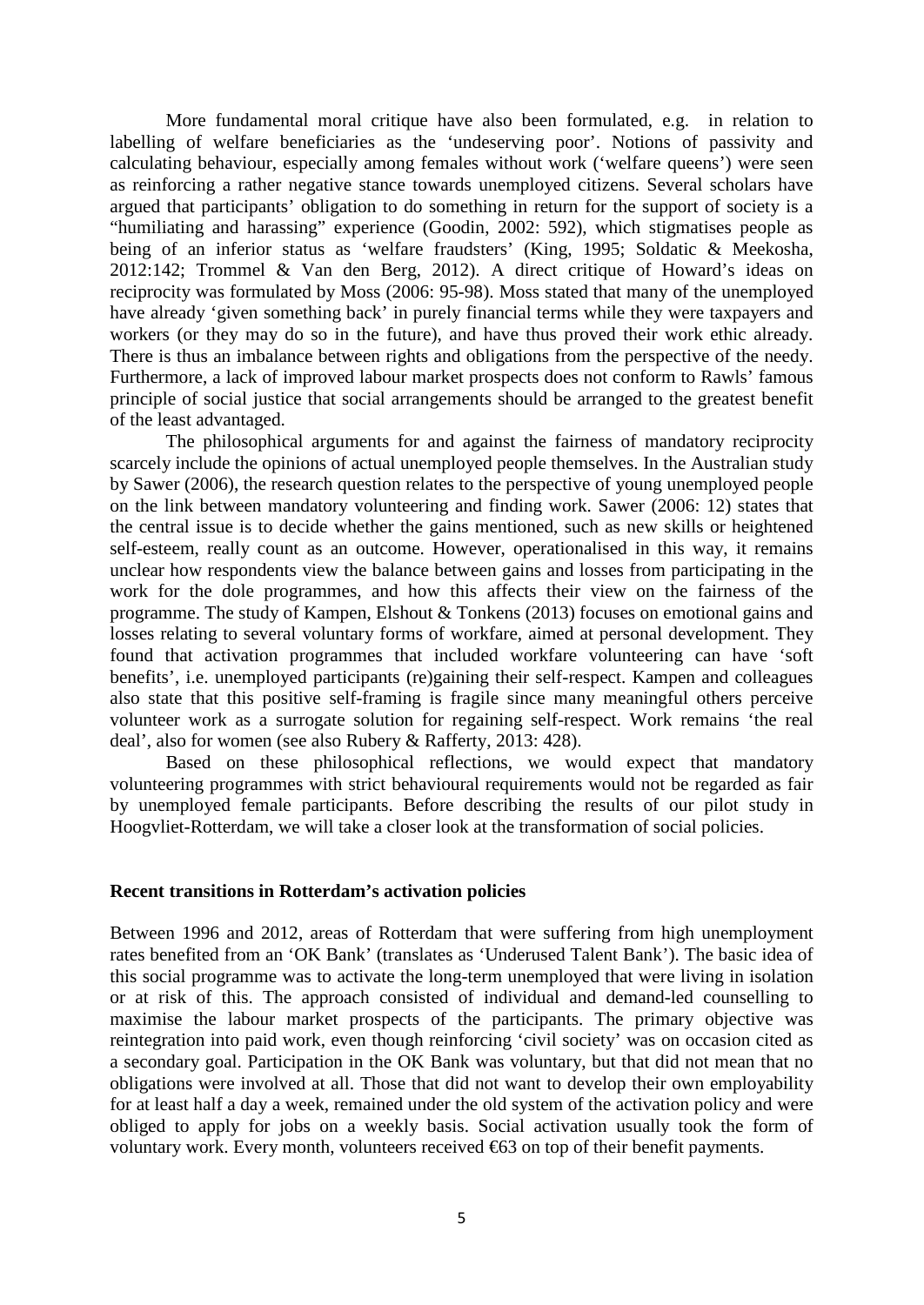More fundamental moral critique have also been formulated, e.g. in relation to labelling of welfare beneficiaries as the 'undeserving poor'. Notions of passivity and calculating behaviour, especially among females without work ('welfare queens') were seen as reinforcing a rather negative stance towards unemployed citizens. Several scholars have argued that participants' obligation to do something in return for the support of society is a "humiliating and harassing" experience (Goodin, 2002: 592), which stigmatises people as being of an inferior status as 'welfare fraudsters' (King, 1995; Soldatic & Meekosha, 2012:142; Trommel & Van den Berg, 2012). A direct critique of Howard's ideas on reciprocity was formulated by Moss (2006: 95-98). Moss stated that many of the unemployed have already 'given something back' in purely financial terms while they were taxpayers and workers (or they may do so in the future), and have thus proved their work ethic already. There is thus an imbalance between rights and obligations from the perspective of the needy. Furthermore, a lack of improved labour market prospects does not conform to Rawls' famous principle of social justice that social arrangements should be arranged to the greatest benefit of the least advantaged.

The philosophical arguments for and against the fairness of mandatory reciprocity scarcely include the opinions of actual unemployed people themselves. In the Australian study by Sawer (2006), the research question relates to the perspective of young unemployed people on the link between mandatory volunteering and finding work. Sawer (2006: 12) states that the central issue is to decide whether the gains mentioned, such as new skills or heightened self-esteem, really count as an outcome. However, operationalised in this way, it remains unclear how respondents view the balance between gains and losses from participating in the work for the dole programmes, and how this affects their view on the fairness of the programme. The study of Kampen, Elshout & Tonkens (2013) focuses on emotional gains and losses relating to several voluntary forms of workfare, aimed at personal development. They found that activation programmes that included workfare volunteering can have 'soft benefits', i.e. unemployed participants (re)gaining their self-respect. Kampen and colleagues also state that this positive self-framing is fragile since many meaningful others perceive volunteer work as a surrogate solution for regaining self-respect. Work remains 'the real deal', also for women (see also Rubery & Rafferty, 2013: 428).

Based on these philosophical reflections, we would expect that mandatory volunteering programmes with strict behavioural requirements would not be regarded as fair by unemployed female participants. Before describing the results of our pilot study in Hoogvliet-Rotterdam, we will take a closer look at the transformation of social policies.

#### **Recent transitions in Rotterdam's activation policies**

Between 1996 and 2012, areas of Rotterdam that were suffering from high unemployment rates benefited from an 'OK Bank' (translates as 'Underused Talent Bank'). The basic idea of this social programme was to activate the long-term unemployed that were living in isolation or at risk of this. The approach consisted of individual and demand-led counselling to maximise the labour market prospects of the participants. The primary objective was reintegration into paid work, even though reinforcing 'civil society' was on occasion cited as a secondary goal. Participation in the OK Bank was voluntary, but that did not mean that no obligations were involved at all. Those that did not want to develop their own employability for at least half a day a week, remained under the old system of the activation policy and were obliged to apply for jobs on a weekly basis. Social activation usually took the form of voluntary work. Every month, volunteers received €63 on top of their benefit payments.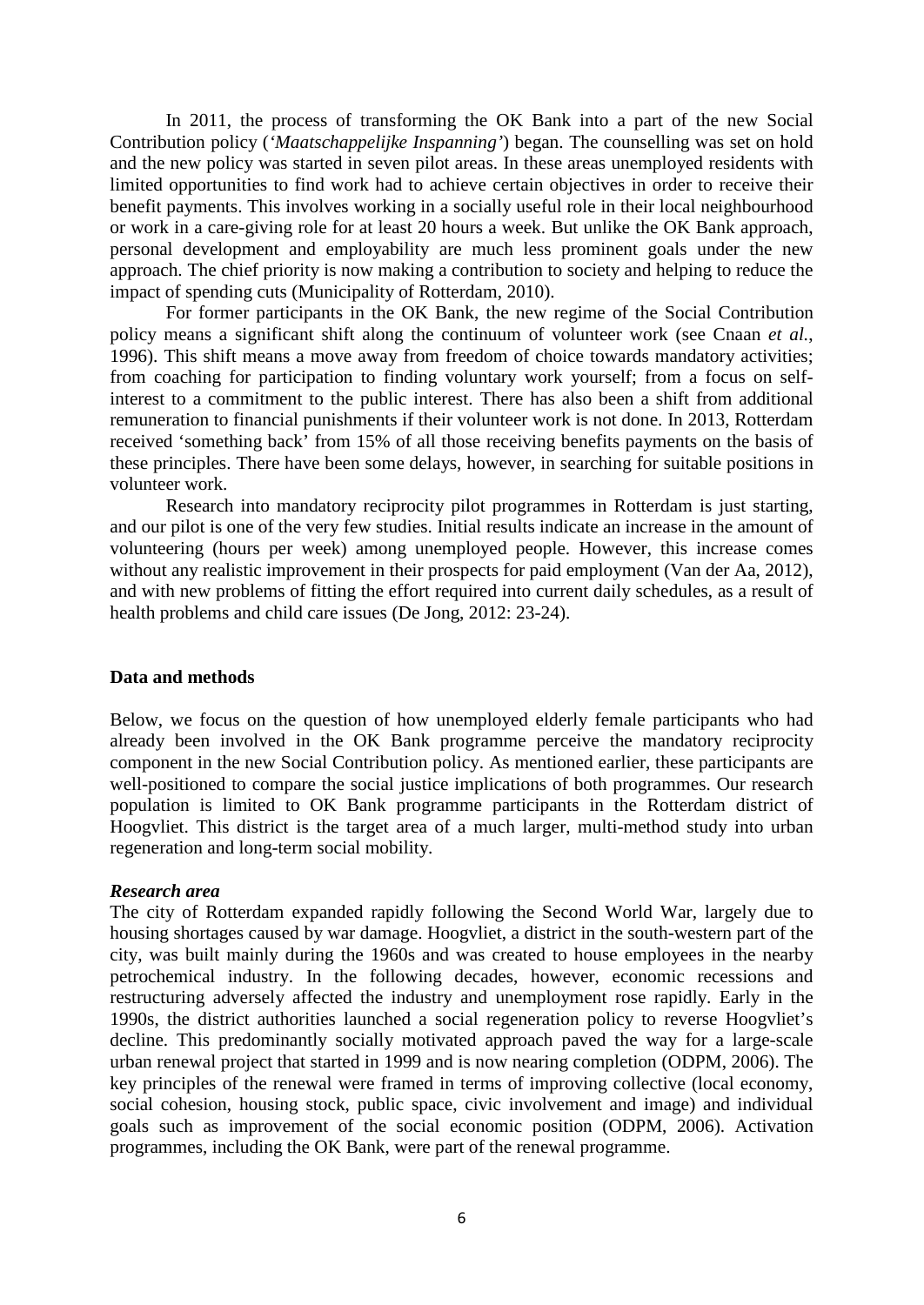In 2011, the process of transforming the OK Bank into a part of the new Social Contribution policy (*'Maatschappelijke Inspanning'*) began. The counselling was set on hold and the new policy was started in seven pilot areas. In these areas unemployed residents with limited opportunities to find work had to achieve certain objectives in order to receive their benefit payments. This involves working in a socially useful role in their local neighbourhood or work in a care-giving role for at least 20 hours a week. But unlike the OK Bank approach, personal development and employability are much less prominent goals under the new approach. The chief priority is now making a contribution to society and helping to reduce the impact of spending cuts (Municipality of Rotterdam, 2010).

For former participants in the OK Bank, the new regime of the Social Contribution policy means a significant shift along the continuum of volunteer work (see Cnaan *et al.*, 1996). This shift means a move away from freedom of choice towards mandatory activities; from coaching for participation to finding voluntary work yourself; from a focus on selfinterest to a commitment to the public interest. There has also been a shift from additional remuneration to financial punishments if their volunteer work is not done. In 2013, Rotterdam received 'something back' from 15% of all those receiving benefits payments on the basis of these principles. There have been some delays, however, in searching for suitable positions in volunteer work.

Research into mandatory reciprocity pilot programmes in Rotterdam is just starting, and our pilot is one of the very few studies. Initial results indicate an increase in the amount of volunteering (hours per week) among unemployed people. However, this increase comes without any realistic improvement in their prospects for paid employment (Van der Aa, 2012), and with new problems of fitting the effort required into current daily schedules, as a result of health problems and child care issues (De Jong, 2012: 23-24).

#### **Data and methods**

Below, we focus on the question of how unemployed elderly female participants who had already been involved in the OK Bank programme perceive the mandatory reciprocity component in the new Social Contribution policy. As mentioned earlier, these participants are well-positioned to compare the social justice implications of both programmes. Our research population is limited to OK Bank programme participants in the Rotterdam district of Hoogvliet. This district is the target area of a much larger, multi-method study into urban regeneration and long-term social mobility.

#### *Research area*

The city of Rotterdam expanded rapidly following the Second World War, largely due to housing shortages caused by war damage. Hoogvliet, a district in the south-western part of the city, was built mainly during the 1960s and was created to house employees in the nearby petrochemical industry. In the following decades, however, economic recessions and restructuring adversely affected the industry and unemployment rose rapidly. Early in the 1990s, the district authorities launched a social regeneration policy to reverse Hoogvliet's decline. This predominantly socially motivated approach paved the way for a large-scale urban renewal project that started in 1999 and is now nearing completion (ODPM, 2006). The key principles of the renewal were framed in terms of improving collective (local economy, social cohesion, housing stock, public space, civic involvement and image) and individual goals such as improvement of the social economic position (ODPM, 2006). Activation programmes, including the OK Bank, were part of the renewal programme.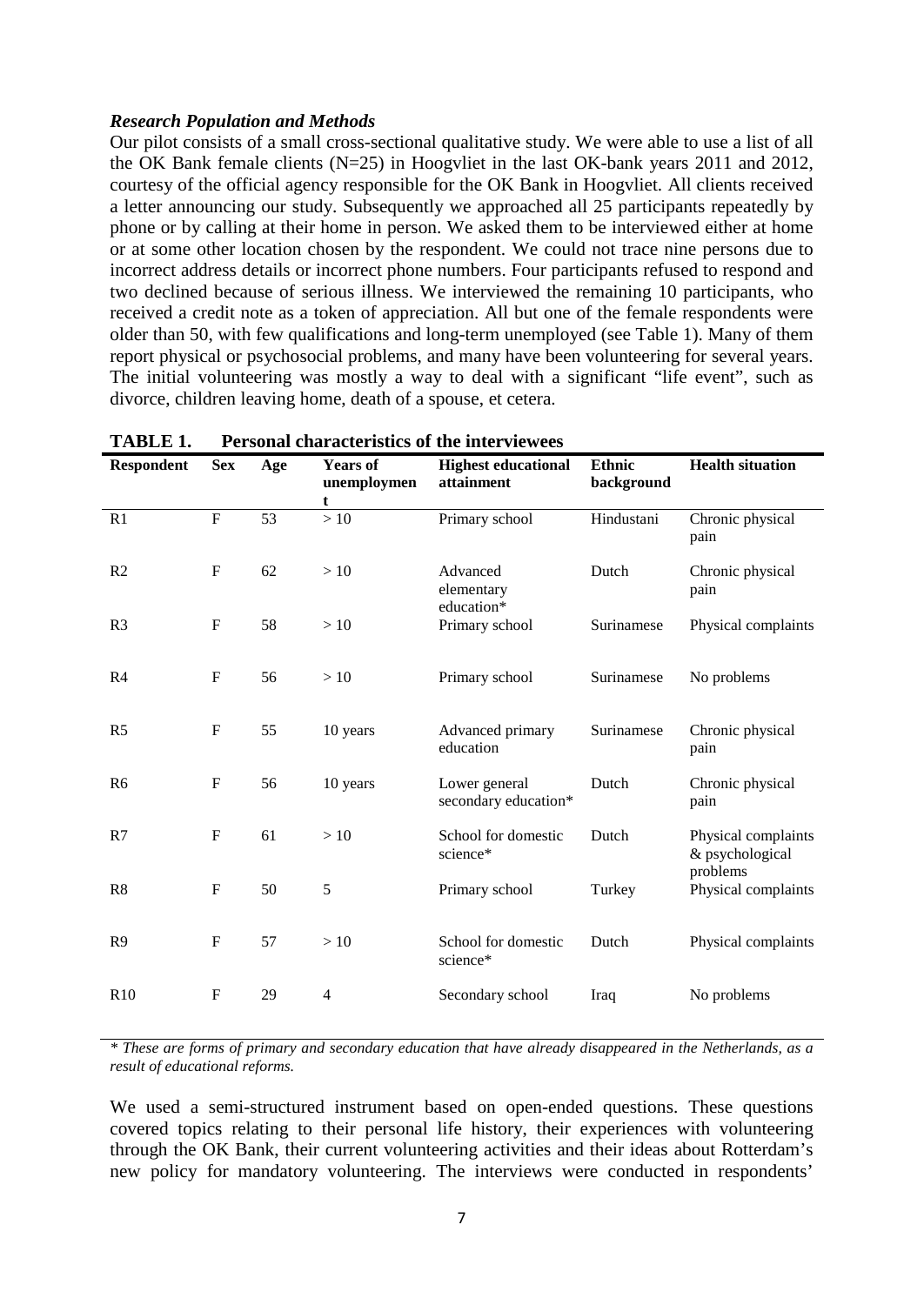#### *Research Population and Methods*

Our pilot consists of a small cross-sectional qualitative study. We were able to use a list of all the OK Bank female clients (N=25) in Hoogvliet in the last OK-bank years 2011 and 2012, courtesy of the official agency responsible for the OK Bank in Hoogvliet. All clients received a letter announcing our study. Subsequently we approached all 25 participants repeatedly by phone or by calling at their home in person. We asked them to be interviewed either at home or at some other location chosen by the respondent. We could not trace nine persons due to incorrect address details or incorrect phone numbers. Four participants refused to respond and two declined because of serious illness. We interviewed the remaining 10 participants, who received a credit note as a token of appreciation. All but one of the female respondents were older than 50, with few qualifications and long-term unemployed (see Table 1). Many of them report physical or psychosocial problems, and many have been volunteering for several years. The initial volunteering was mostly a way to deal with a significant "life event", such as divorce, children leaving home, death of a spouse, et cetera.

| <b>Respondent</b> | <b>Sex</b>                | Age             | <b>Years of</b><br>unemploymen<br>t | <b>Highest educational</b><br>attainment | <b>Ethnic</b><br>background | <b>Health situation</b>                            |
|-------------------|---------------------------|-----------------|-------------------------------------|------------------------------------------|-----------------------------|----------------------------------------------------|
| R <sub>1</sub>    | $\overline{F}$            | $\overline{53}$ | >10                                 | Primary school                           | Hindustani                  | Chronic physical<br>pain                           |
| R <sub>2</sub>    | $\boldsymbol{\mathrm{F}}$ | 62              | >10                                 | Advanced<br>elementary<br>education*     | Dutch                       | Chronic physical<br>pain                           |
| R <sub>3</sub>    | $\boldsymbol{\mathrm{F}}$ | 58              | >10                                 | Primary school                           | Surinamese                  | Physical complaints                                |
| R <sub>4</sub>    | ${\bf F}$                 | 56              | >10                                 | Primary school                           | Surinamese                  | No problems                                        |
| R <sub>5</sub>    | $\mathbf F$               | 55              | 10 years                            | Advanced primary<br>education            | Surinamese                  | Chronic physical<br>pain                           |
| R <sub>6</sub>    | $\mathbf F$               | 56              | 10 years                            | Lower general<br>secondary education*    | Dutch                       | Chronic physical<br>pain                           |
| R7                | $\mathbf{F}$              | 61              | >10                                 | School for domestic<br>science*          | Dutch                       | Physical complaints<br>& psychological<br>problems |
| R8                | ${\bf F}$                 | 50              | 5                                   | Primary school                           | Turkey                      | Physical complaints                                |
| R <sub>9</sub>    | $\mathbf F$               | 57              | >10                                 | School for domestic<br>science*          | Dutch                       | Physical complaints                                |
| R10               | $\mathbf{F}$              | 29              | $\overline{4}$                      | Secondary school                         | Iraq                        | No problems                                        |

**TABLE 1. Personal characteristics of the interviewees** 

*\* These are forms of primary and secondary education that have already disappeared in the Netherlands, as a result of educational reforms.*

We used a semi-structured instrument based on open-ended questions. These questions covered topics relating to their personal life history, their experiences with volunteering through the OK Bank, their current volunteering activities and their ideas about Rotterdam's new policy for mandatory volunteering. The interviews were conducted in respondents'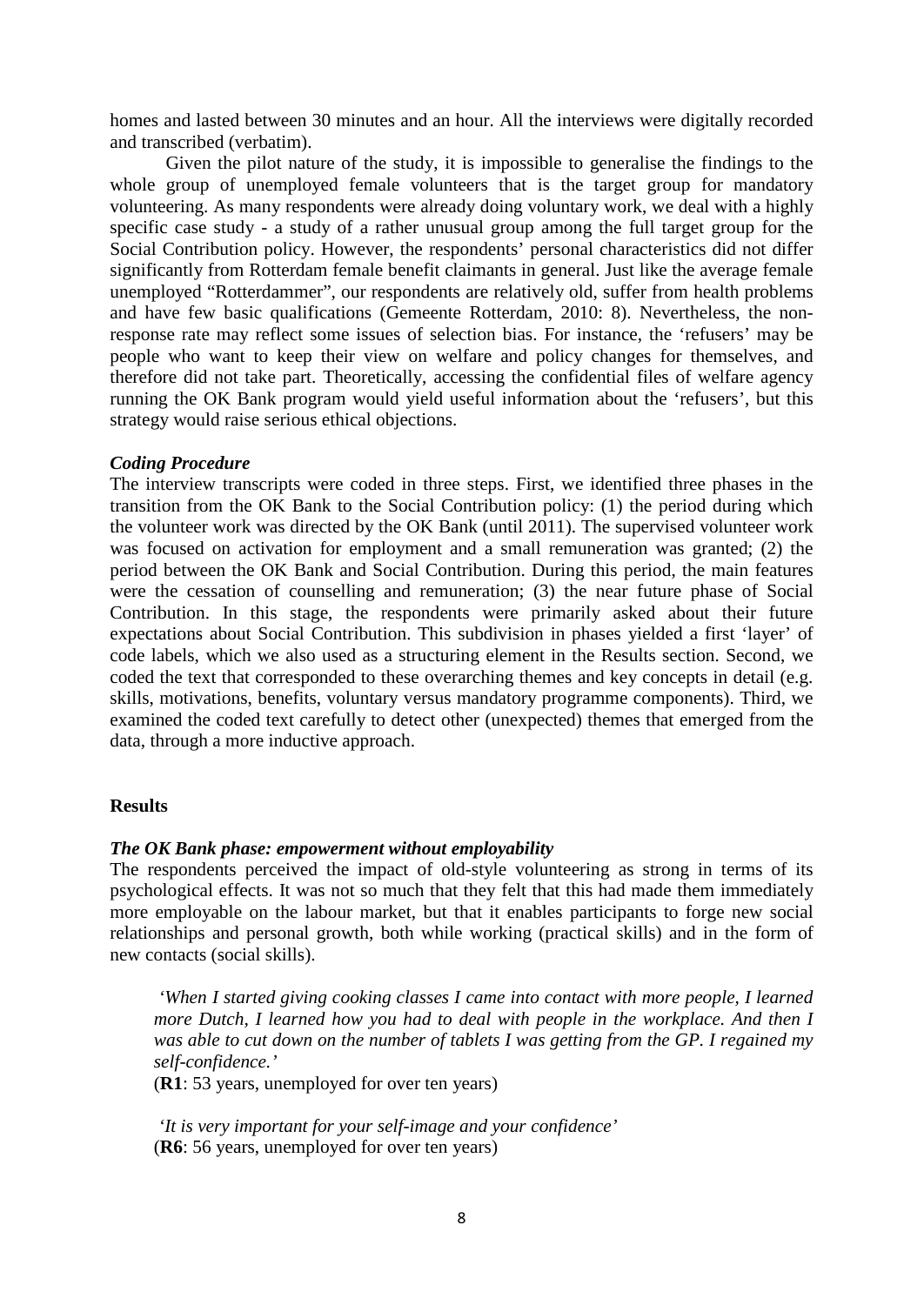homes and lasted between 30 minutes and an hour. All the interviews were digitally recorded and transcribed (verbatim).

Given the pilot nature of the study, it is impossible to generalise the findings to the whole group of unemployed female volunteers that is the target group for mandatory volunteering. As many respondents were already doing voluntary work, we deal with a highly specific case study *-* a study of a rather unusual group among the full target group for the Social Contribution policy. However, the respondents' personal characteristics did not differ significantly from Rotterdam female benefit claimants in general. Just like the average female unemployed "Rotterdammer", our respondents are relatively old, suffer from health problems and have few basic qualifications (Gemeente Rotterdam, 2010: 8). Nevertheless, the nonresponse rate may reflect some issues of selection bias. For instance, the 'refusers' may be people who want to keep their view on welfare and policy changes for themselves, and therefore did not take part. Theoretically, accessing the confidential files of welfare agency running the OK Bank program would yield useful information about the 'refusers', but this strategy would raise serious ethical objections.

#### *Coding Procedure*

The interview transcripts were coded in three steps. First, we identified three phases in the transition from the OK Bank to the Social Contribution policy: (1) the period during which the volunteer work was directed by the OK Bank (until 2011). The supervised volunteer work was focused on activation for employment and a small remuneration was granted; (2) the period between the OK Bank and Social Contribution. During this period, the main features were the cessation of counselling and remuneration; (3) the near future phase of Social Contribution. In this stage, the respondents were primarily asked about their future expectations about Social Contribution. This subdivision in phases yielded a first 'layer' of code labels, which we also used as a structuring element in the Results section. Second, we coded the text that corresponded to these overarching themes and key concepts in detail (e.g. skills, motivations, benefits, voluntary versus mandatory programme components). Third, we examined the coded text carefully to detect other (unexpected) themes that emerged from the data, through a more inductive approach.

#### **Results**

#### *The OK Bank phase: empowerment without employability*

The respondents perceived the impact of old-style volunteering as strong in terms of its psychological effects. It was not so much that they felt that this had made them immediately more employable on the labour market, but that it enables participants to forge new social relationships and personal growth, both while working (practical skills) and in the form of new contacts (social skills).

*'When I started giving cooking classes I came into contact with more people, I learned more Dutch, I learned how you had to deal with people in the workplace. And then I was able to cut down on the number of tablets I was getting from the GP. I regained my self-confidence.'*

(**R1**: 53 years, unemployed for over ten years)

*'It is very important for your self-image and your confidence'* (**R6**: 56 years, unemployed for over ten years)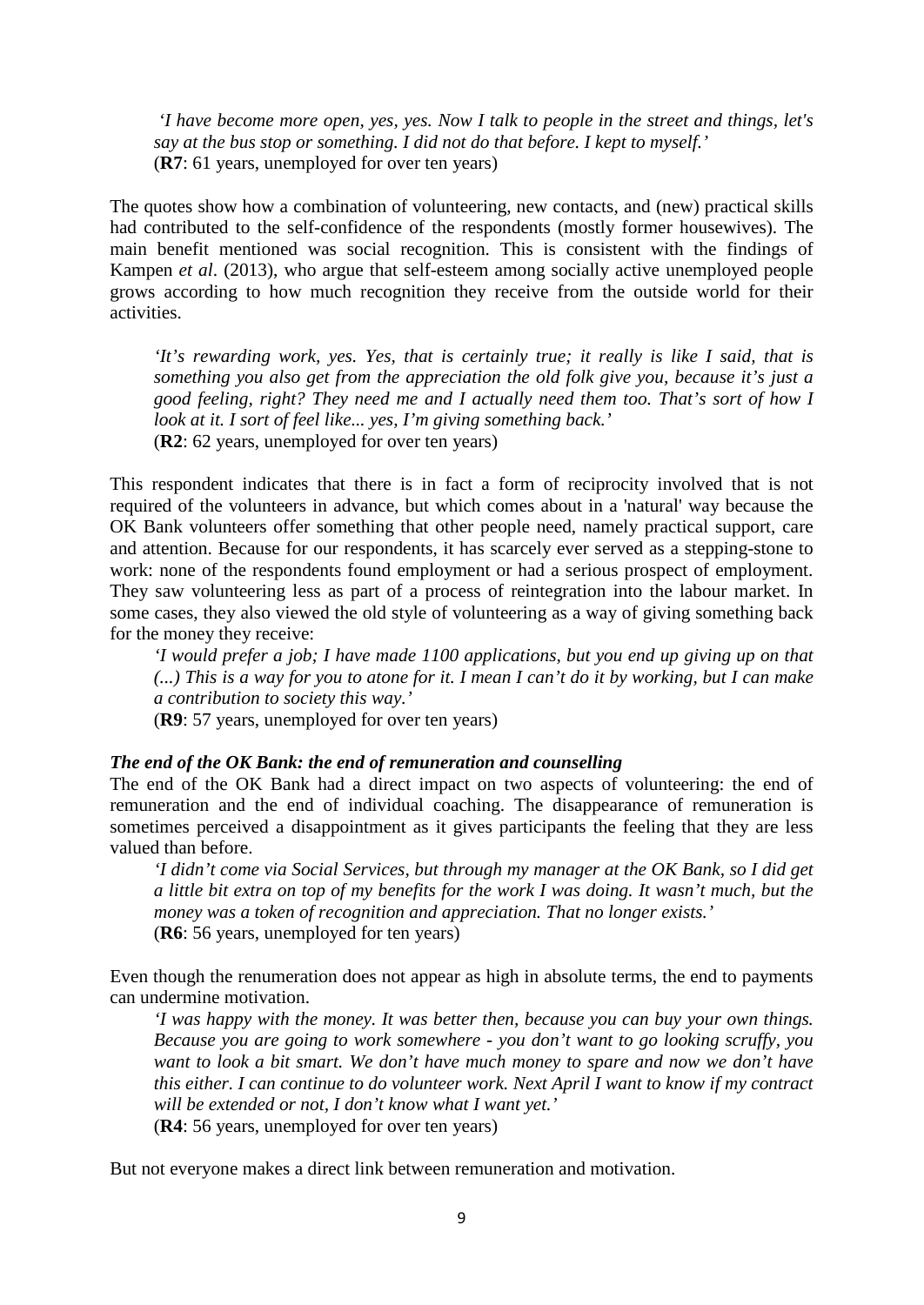*'I have become more open, yes, yes. Now I talk to people in the street and things, let's say at the bus stop or something. I did not do that before. I kept to myself.'* (**R7**: 61 years, unemployed for over ten years)

The quotes show how a combination of volunteering, new contacts, and (new) practical skills had contributed to the self-confidence of the respondents (mostly former housewives). The main benefit mentioned was social recognition. This is consistent with the findings of Kampen *et al*. (2013), who argue that self-esteem among socially active unemployed people grows according to how much recognition they receive from the outside world for their activities.

*'It's rewarding work, yes. Yes, that is certainly true; it really is like I said, that is something you also get from the appreciation the old folk give you, because it's just a good feeling, right? They need me and I actually need them too. That's sort of how I look at it. I sort of feel like... yes, I'm giving something back.'* (**R2**: 62 years, unemployed for over ten years)

This respondent indicates that there is in fact a form of reciprocity involved that is not required of the volunteers in advance, but which comes about in a 'natural' way because the OK Bank volunteers offer something that other people need, namely practical support, care and attention. Because for our respondents, it has scarcely ever served as a stepping-stone to work: none of the respondents found employment or had a serious prospect of employment. They saw volunteering less as part of a process of reintegration into the labour market. In some cases, they also viewed the old style of volunteering as a way of giving something back for the money they receive:

*'I would prefer a job; I have made 1100 applications, but you end up giving up on that (...) This is a way for you to atone for it. I mean I can't do it by working, but I can make a contribution to society this way.'*

(**R9**: 57 years, unemployed for over ten years)

#### *The end of the OK Bank: the end of remuneration and counselling*

The end of the OK Bank had a direct impact on two aspects of volunteering: the end of remuneration and the end of individual coaching. The disappearance of remuneration is sometimes perceived a disappointment as it gives participants the feeling that they are less valued than before.

*'I didn't come via Social Services, but through my manager at the OK Bank, so I did get a little bit extra on top of my benefits for the work I was doing. It wasn't much, but the money was a token of recognition and appreciation. That no longer exists.'* (**R6**: 56 years, unemployed for ten years)

Even though the renumeration does not appear as high in absolute terms, the end to payments can undermine motivation.

*'I was happy with the money. It was better then, because you can buy your own things. Because you are going to work somewhere - you don't want to go looking scruffy, you want to look a bit smart. We don't have much money to spare and now we don't have this either. I can continue to do volunteer work. Next April I want to know if my contract will be extended or not, I don't know what I want yet.'*  (**R4**: 56 years, unemployed for over ten years)

But not everyone makes a direct link between remuneration and motivation.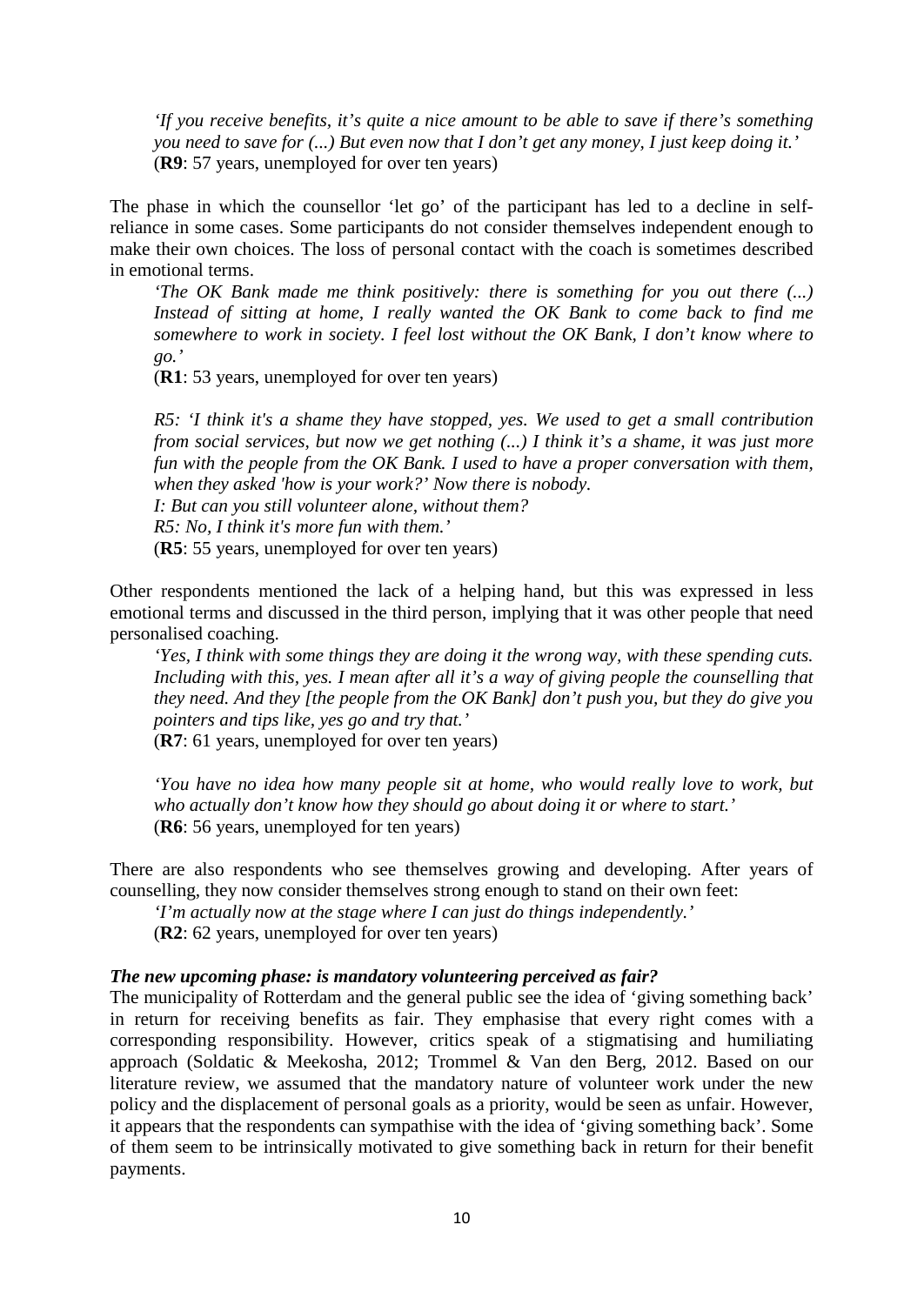*'If you receive benefits, it's quite a nice amount to be able to save if there's something you need to save for (...) But even now that I don't get any money, I just keep doing it.'* (**R9**: 57 years, unemployed for over ten years)

The phase in which the counsellor 'let go' of the participant has led to a decline in selfreliance in some cases. Some participants do not consider themselves independent enough to make their own choices. The loss of personal contact with the coach is sometimes described in emotional terms.

*'The OK Bank made me think positively: there is something for you out there (...) Instead of sitting at home, I really wanted the OK Bank to come back to find me somewhere to work in society. I feel lost without the OK Bank, I don't know where to go.'*

(**R1**: 53 years, unemployed for over ten years)

*R5: 'I think it's a shame they have stopped, yes. We used to get a small contribution from social services, but now we get nothing (...) I think it's a shame, it was just more fun with the people from the OK Bank. I used to have a proper conversation with them, when they asked 'how is your work?' Now there is nobody.*

*I: But can you still volunteer alone, without them? R5: No, I think it's more fun with them.'*

(**R5**: 55 years, unemployed for over ten years)

Other respondents mentioned the lack of a helping hand, but this was expressed in less emotional terms and discussed in the third person, implying that it was other people that need personalised coaching.

*'Yes, I think with some things they are doing it the wrong way, with these spending cuts. Including with this, yes. I mean after all it's a way of giving people the counselling that they need. And they [the people from the OK Bank] don't push you, but they do give you pointers and tips like, yes go and try that.'*

(**R7**: 61 years, unemployed for over ten years)

*'You have no idea how many people sit at home, who would really love to work, but who actually don't know how they should go about doing it or where to start.'* (**R6**: 56 years, unemployed for ten years)

There are also respondents who see themselves growing and developing. After years of counselling, they now consider themselves strong enough to stand on their own feet:

*'I'm actually now at the stage where I can just do things independently.'*

(**R2**: 62 years, unemployed for over ten years)

#### *The new upcoming phase: is mandatory volunteering perceived as fair?*

The municipality of Rotterdam and the general public see the idea of 'giving something back' in return for receiving benefits as fair. They emphasise that every right comes with a corresponding responsibility. However, critics speak of a stigmatising and humiliating approach (Soldatic & Meekosha, 2012; Trommel & Van den Berg, 2012. Based on our literature review, we assumed that the mandatory nature of volunteer work under the new policy and the displacement of personal goals as a priority, would be seen as unfair. However, it appears that the respondents can sympathise with the idea of 'giving something back'. Some of them seem to be intrinsically motivated to give something back in return for their benefit payments.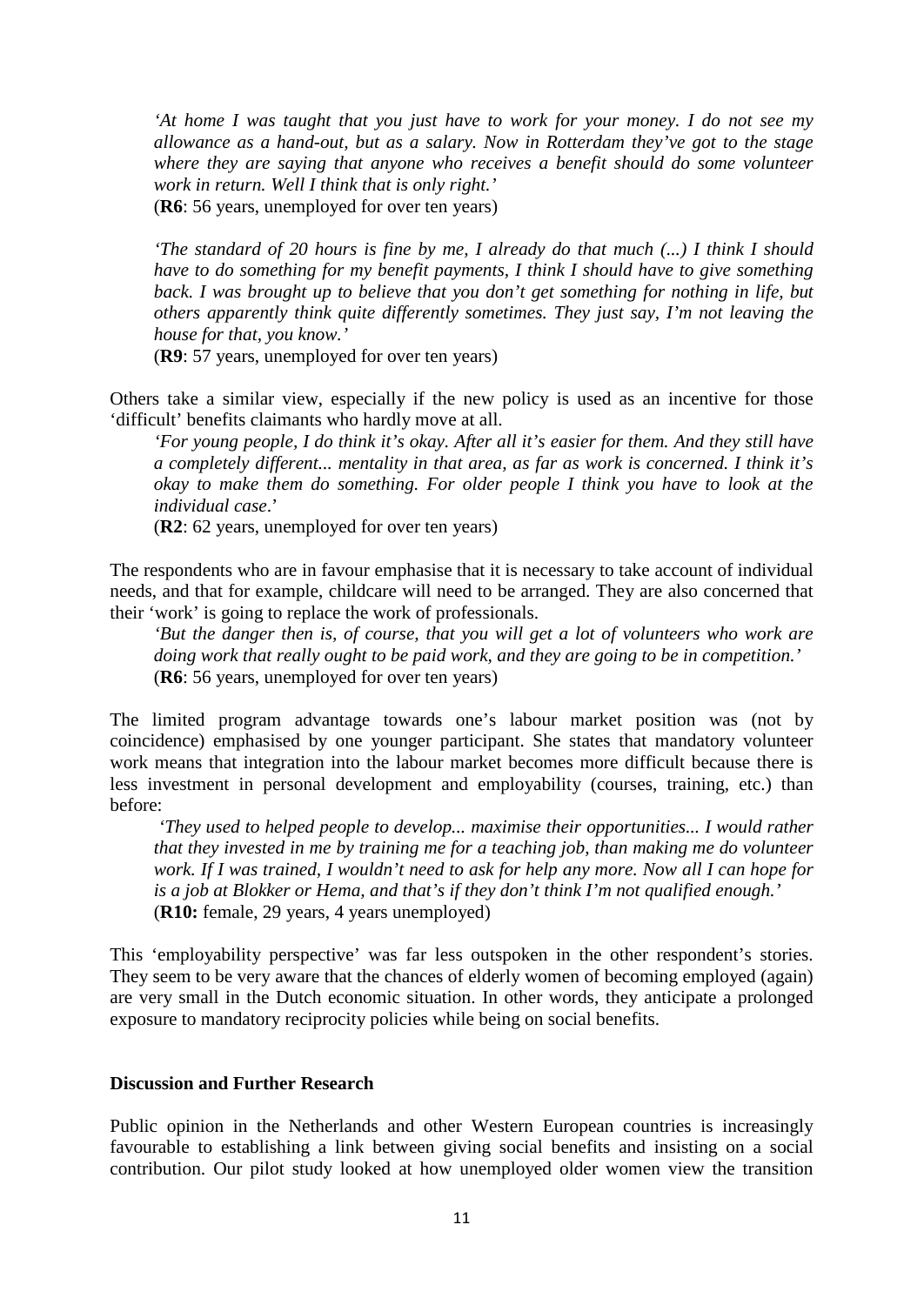*'At home I was taught that you just have to work for your money. I do not see my allowance as a hand-out, but as a salary. Now in Rotterdam they've got to the stage where they are saying that anyone who receives a benefit should do some volunteer work in return. Well I think that is only right.'*

(**R6**: 56 years, unemployed for over ten years)

*'The standard of 20 hours is fine by me, I already do that much (...) I think I should have to do something for my benefit payments, I think I should have to give something back. I was brought up to believe that you don't get something for nothing in life, but others apparently think quite differently sometimes. They just say, I'm not leaving the house for that, you know.'*

(**R9**: 57 years, unemployed for over ten years)

Others take a similar view, especially if the new policy is used as an incentive for those 'difficult' benefits claimants who hardly move at all.

*'For young people, I do think it's okay. After all it's easier for them. And they still have a completely different... mentality in that area, as far as work is concerned. I think it's okay to make them do something. For older people I think you have to look at the individual case*.'

(**R2**: 62 years, unemployed for over ten years)

The respondents who are in favour emphasise that it is necessary to take account of individual needs, and that for example, childcare will need to be arranged. They are also concerned that their 'work' is going to replace the work of professionals.

*'But the danger then is, of course, that you will get a lot of volunteers who work are doing work that really ought to be paid work, and they are going to be in competition.'* (**R6**: 56 years, unemployed for over ten years)

The limited program advantage towards one's labour market position was (not by coincidence) emphasised by one younger participant. She states that mandatory volunteer work means that integration into the labour market becomes more difficult because there is less investment in personal development and employability (courses, training, etc.) than before:

*'They used to helped people to develop... maximise their opportunities... I would rather that they invested in me by training me for a teaching job, than making me do volunteer work. If I was trained, I wouldn't need to ask for help any more. Now all I can hope for is a job at Blokker or Hema, and that's if they don't think I'm not qualified enough.'* (**R10:** female, 29 years, 4 years unemployed)

This 'employability perspective' was far less outspoken in the other respondent's stories. They seem to be very aware that the chances of elderly women of becoming employed (again) are very small in the Dutch economic situation. In other words, they anticipate a prolonged exposure to mandatory reciprocity policies while being on social benefits.

#### **Discussion and Further Research**

Public opinion in the Netherlands and other Western European countries is increasingly favourable to establishing a link between giving social benefits and insisting on a social contribution. Our pilot study looked at how unemployed older women view the transition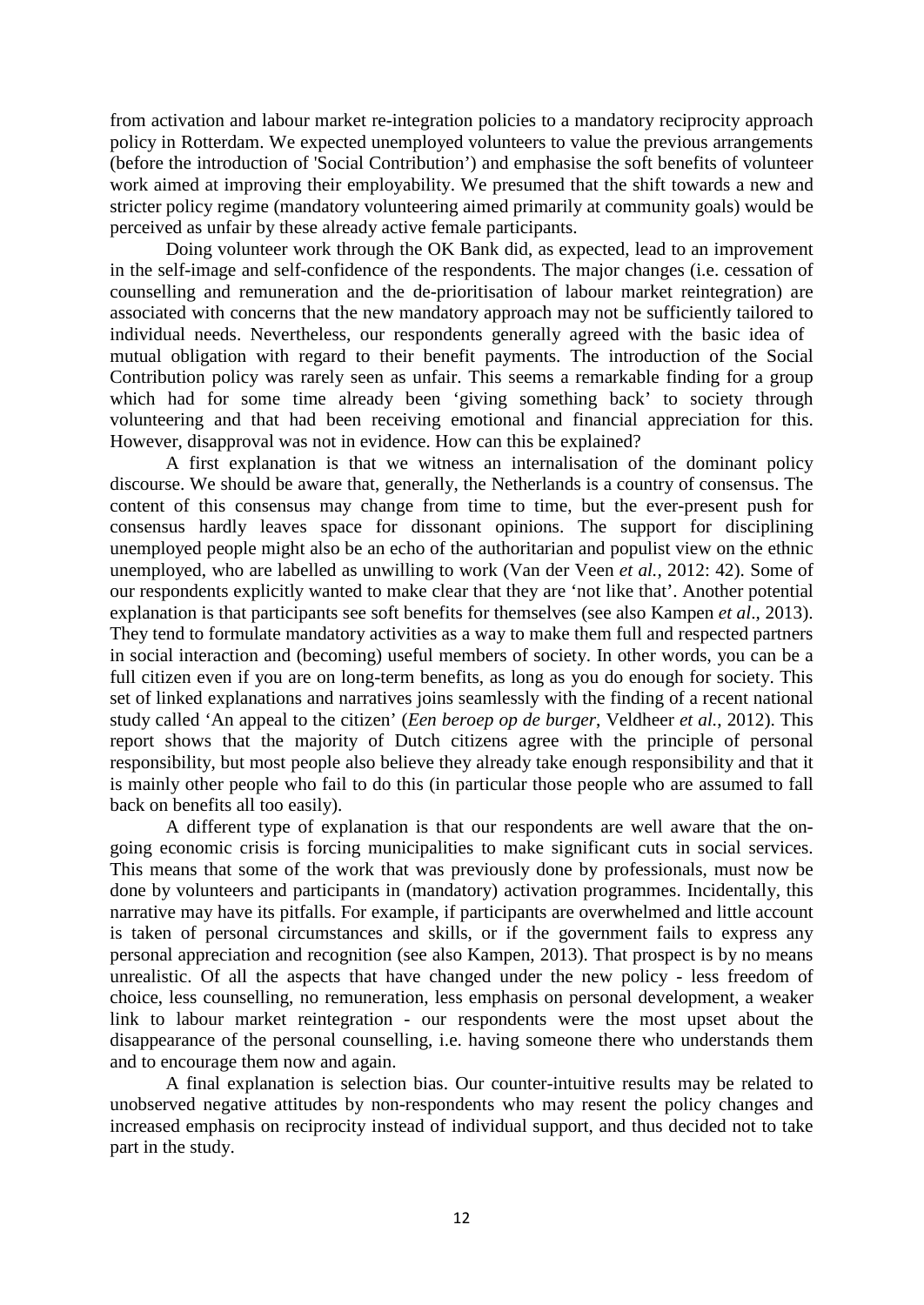from activation and labour market re-integration policies to a mandatory reciprocity approach policy in Rotterdam. We expected unemployed volunteers to value the previous arrangements (before the introduction of 'Social Contribution') and emphasise the soft benefits of volunteer work aimed at improving their employability. We presumed that the shift towards a new and stricter policy regime (mandatory volunteering aimed primarily at community goals) would be perceived as unfair by these already active female participants.

Doing volunteer work through the OK Bank did, as expected, lead to an improvement in the self-image and self-confidence of the respondents. The major changes (i.e. cessation of counselling and remuneration and the de-prioritisation of labour market reintegration) are associated with concerns that the new mandatory approach may not be sufficiently tailored to individual needs. Nevertheless, our respondents generally agreed with the basic idea of mutual obligation with regard to their benefit payments. The introduction of the Social Contribution policy was rarely seen as unfair. This seems a remarkable finding for a group which had for some time already been 'giving something back' to society through volunteering and that had been receiving emotional and financial appreciation for this. However, disapproval was not in evidence. How can this be explained?

A first explanation is that we witness an internalisation of the dominant policy discourse. We should be aware that, generally, the Netherlands is a country of consensus. The content of this consensus may change from time to time, but the ever-present push for consensus hardly leaves space for dissonant opinions. The support for disciplining unemployed people might also be an echo of the authoritarian and populist view on the ethnic unemployed, who are labelled as unwilling to work (Van der Veen *et al.,* 2012: 42). Some of our respondents explicitly wanted to make clear that they are 'not like that'. Another potential explanation is that participants see soft benefits for themselves (see also Kampen *et al*.*,* 2013). They tend to formulate mandatory activities as a way to make them full and respected partners in social interaction and (becoming) useful members of society. In other words, you can be a full citizen even if you are on long-term benefits, as long as you do enough for society. This set of linked explanations and narratives joins seamlessly with the finding of a recent national study called 'An appeal to the citizen' (*Een beroep op de burger*, Veldheer *et al.*, 2012). This report shows that the majority of Dutch citizens agree with the principle of personal responsibility, but most people also believe they already take enough responsibility and that it is mainly other people who fail to do this (in particular those people who are assumed to fall back on benefits all too easily).

A different type of explanation is that our respondents are well aware that the ongoing economic crisis is forcing municipalities to make significant cuts in social services. This means that some of the work that was previously done by professionals, must now be done by volunteers and participants in (mandatory) activation programmes. Incidentally, this narrative may have its pitfalls. For example, if participants are overwhelmed and little account is taken of personal circumstances and skills, or if the government fails to express any personal appreciation and recognition (see also Kampen, 2013). That prospect is by no means unrealistic. Of all the aspects that have changed under the new policy - less freedom of choice, less counselling, no remuneration, less emphasis on personal development, a weaker link to labour market reintegration - our respondents were the most upset about the disappearance of the personal counselling, i.e. having someone there who understands them and to encourage them now and again.

A final explanation is selection bias. Our counter-intuitive results may be related to unobserved negative attitudes by non-respondents who may resent the policy changes and increased emphasis on reciprocity instead of individual support, and thus decided not to take part in the study.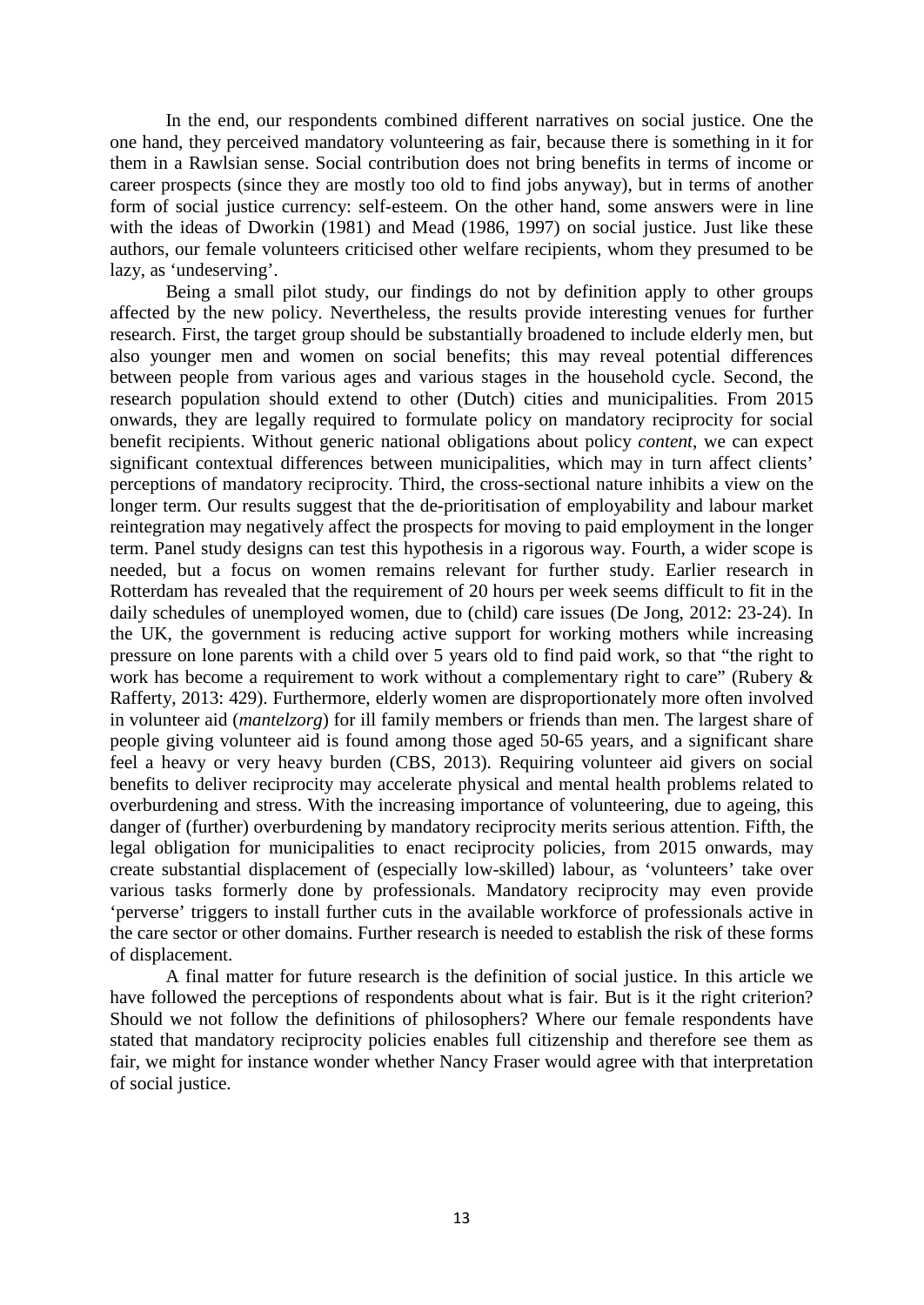In the end, our respondents combined different narratives on social justice. One the one hand, they perceived mandatory volunteering as fair, because there is something in it for them in a Rawlsian sense. Social contribution does not bring benefits in terms of income or career prospects (since they are mostly too old to find jobs anyway), but in terms of another form of social justice currency: self-esteem. On the other hand, some answers were in line with the ideas of Dworkin (1981) and Mead (1986, 1997) on social justice. Just like these authors, our female volunteers criticised other welfare recipients, whom they presumed to be lazy, as 'undeserving'.

Being a small pilot study, our findings do not by definition apply to other groups affected by the new policy. Nevertheless, the results provide interesting venues for further research. First, the target group should be substantially broadened to include elderly men, but also younger men and women on social benefits; this may reveal potential differences between people from various ages and various stages in the household cycle. Second, the research population should extend to other (Dutch) cities and municipalities. From 2015 onwards, they are legally required to formulate policy on mandatory reciprocity for social benefit recipients. Without generic national obligations about policy *content*, we can expect significant contextual differences between municipalities, which may in turn affect clients' perceptions of mandatory reciprocity. Third, the cross-sectional nature inhibits a view on the longer term. Our results suggest that the de-prioritisation of employability and labour market reintegration may negatively affect the prospects for moving to paid employment in the longer term. Panel study designs can test this hypothesis in a rigorous way. Fourth, a wider scope is needed, but a focus on women remains relevant for further study. Earlier research in Rotterdam has revealed that the requirement of 20 hours per week seems difficult to fit in the daily schedules of unemployed women, due to (child) care issues (De Jong, 2012: 23-24). In the UK, the government is reducing active support for working mothers while increasing pressure on lone parents with a child over 5 years old to find paid work, so that "the right to work has become a requirement to work without a complementary right to care" (Rubery & Rafferty, 2013: 429). Furthermore, elderly women are disproportionately more often involved in volunteer aid (*mantelzorg*) for ill family members or friends than men. The largest share of people giving volunteer aid is found among those aged 50-65 years, and a significant share feel a heavy or very heavy burden (CBS, 2013). Requiring volunteer aid givers on social benefits to deliver reciprocity may accelerate physical and mental health problems related to overburdening and stress. With the increasing importance of volunteering, due to ageing, this danger of (further) overburdening by mandatory reciprocity merits serious attention. Fifth, the legal obligation for municipalities to enact reciprocity policies, from 2015 onwards, may create substantial displacement of (especially low-skilled) labour, as 'volunteers' take over various tasks formerly done by professionals. Mandatory reciprocity may even provide 'perverse' triggers to install further cuts in the available workforce of professionals active in the care sector or other domains. Further research is needed to establish the risk of these forms of displacement.

A final matter for future research is the definition of social justice. In this article we have followed the perceptions of respondents about what is fair. But is it the right criterion? Should we not follow the definitions of philosophers? Where our female respondents have stated that mandatory reciprocity policies enables full citizenship and therefore see them as fair, we might for instance wonder whether Nancy Fraser would agree with that interpretation of social justice.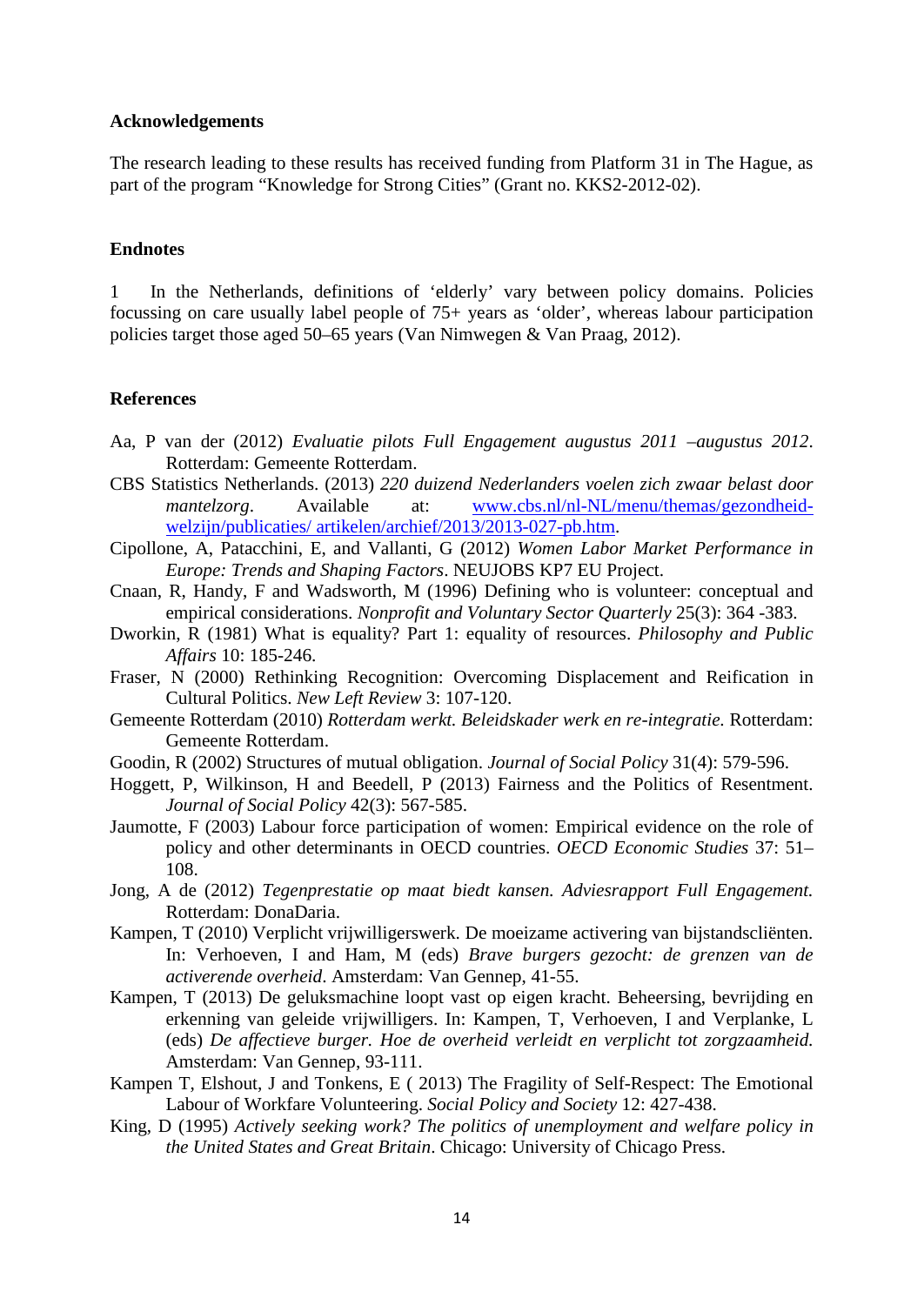#### **Acknowledgements**

The research leading to these results has received funding from Platform 31 in The Hague, as part of the program "Knowledge for Strong Cities" (Grant no. KKS2-2012-02).

#### **Endnotes**

1 In the Netherlands, definitions of 'elderly' vary between policy domains. Policies focussing on care usually label people of 75+ years as 'older', whereas labour participation policies target those aged 50–65 years (Van Nimwegen & Van Praag, 2012).

#### **References**

- Aa, P van der (2012) *Evaluatie pilots Full Engagement augustus 2011 –augustus 2012*. Rotterdam: Gemeente Rotterdam.
- CBS Statistics Netherlands. (2013) *220 duizend Nederlanders voelen zich zwaar belast door mantelzorg*. Available at: [www.cbs.nl/nl-NL/menu/themas/gezondheid](http://www.cbs.nl/nl-NL/menu/themas/gezondheid-welzijn/publicaties/%20artikelen/archief/2013/2013-027-pb.htm)[welzijn/publicaties/ artikelen/archief/2013/2013-027-pb.htm.](http://www.cbs.nl/nl-NL/menu/themas/gezondheid-welzijn/publicaties/%20artikelen/archief/2013/2013-027-pb.htm)
- Cipollone, A, Patacchini, E, and Vallanti, G (2012) *Women Labor Market Performance in Europe: Trends and Shaping Factors*. NEUJOBS KP7 EU Project.
- Cnaan, R, Handy, F and Wadsworth, M (1996) Defining who is volunteer: conceptual and empirical considerations. *Nonprofit and Voluntary Sector Quarterly* 25(3): 364 -383.
- Dworkin, R (1981) What is equality? Part 1: equality of resources. *Philosophy and Public Affairs* 10: 185-246.
- Fraser, N (2000) Rethinking Recognition: Overcoming Displacement and Reification in Cultural Politics. *New Left Review* 3: 107-120.
- Gemeente Rotterdam (2010) *Rotterdam werkt. Beleidskader werk en re-integratie.* Rotterdam: Gemeente Rotterdam.
- Goodin, R (2002) Structures of mutual obligation. *Journal of Social Policy* 31(4): 579-596.
- Hoggett, P, Wilkinson, H and Beedell, P (2013) Fairness and the Politics of Resentment. *Journal of Social Policy* 42(3): 567-585.
- Jaumotte, F (2003) Labour force participation of women: Empirical evidence on the role of policy and other determinants in OECD countries. *OECD Economic Studies* 37: 51– 108.
- Jong, A de (2012) *Tegenprestatie op maat biedt kansen. Adviesrapport Full Engagement.* Rotterdam: DonaDaria.
- Kampen, T (2010) Verplicht vrijwilligerswerk. De moeizame activering van bijstandscliënten. In: Verhoeven, I and Ham, M (eds) *Brave burgers gezocht: de grenzen van de activerende overheid*. Amsterdam: Van Gennep, 41-55.
- Kampen, T (2013) De geluksmachine loopt vast op eigen kracht. Beheersing, bevrijding en erkenning van geleide vrijwilligers. In: Kampen, T, Verhoeven, I and Verplanke, L (eds) *De affectieve burger. Hoe de overheid verleidt en verplicht tot zorgzaamheid.* Amsterdam: Van Gennep, 93-111.
- Kampen T, Elshout, J and Tonkens, E ( 2013) The Fragility of Self-Respect: The Emotional Labour of Workfare Volunteering. *Social Policy and Society* 12: 427-438.
- King, D (1995) *Actively seeking work? The politics of unemployment and welfare policy in the United States and Great Britain*. Chicago: University of Chicago Press.